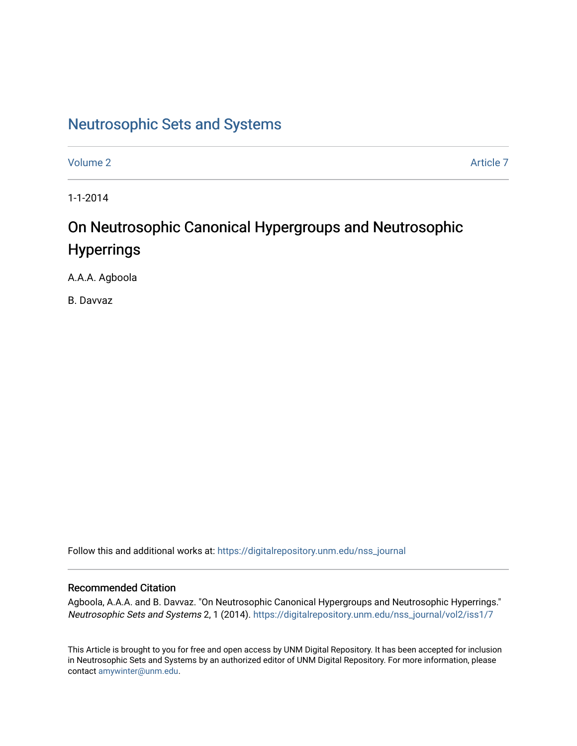# [Neutrosophic Sets and Systems](https://digitalrepository.unm.edu/nss_journal)

[Volume 2](https://digitalrepository.unm.edu/nss_journal/vol2) Article 7

1-1-2014

# On Neutrosophic Canonical Hypergroups and Neutrosophic **Hyperrings**

A.A.A. Agboola

B. Davvaz

Follow this and additional works at: [https://digitalrepository.unm.edu/nss\\_journal](https://digitalrepository.unm.edu/nss_journal?utm_source=digitalrepository.unm.edu%2Fnss_journal%2Fvol2%2Fiss1%2F7&utm_medium=PDF&utm_campaign=PDFCoverPages) 

# Recommended Citation

Agboola, A.A.A. and B. Davvaz. "On Neutrosophic Canonical Hypergroups and Neutrosophic Hyperrings." Neutrosophic Sets and Systems 2, 1 (2014). [https://digitalrepository.unm.edu/nss\\_journal/vol2/iss1/7](https://digitalrepository.unm.edu/nss_journal/vol2/iss1/7?utm_source=digitalrepository.unm.edu%2Fnss_journal%2Fvol2%2Fiss1%2F7&utm_medium=PDF&utm_campaign=PDFCoverPages) 

This Article is brought to you for free and open access by UNM Digital Repository. It has been accepted for inclusion in Neutrosophic Sets and Systems by an authorized editor of UNM Digital Repository. For more information, please contact [amywinter@unm.edu](mailto:amywinter@unm.edu).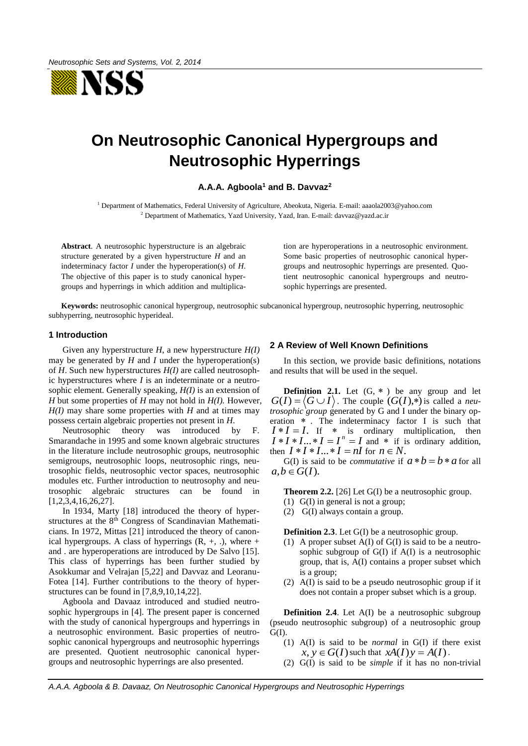

# **On Neutrosophic Canonical Hypergroups and Neutrosophic Hyperrings**

#### **A.A.A. Agboola<sup>1</sup> and B. Davvaz<sup>2</sup>**

<sup>1</sup> Department of Mathematics, Federal University of Agriculture, Abeokuta, Nigeria. E-mail: aaaola2003@yahoo.com 2 Department of Mathematics, Yazd University, Yazd, Iran. E-mail: davvaz@yazd.ac.ir

**Abstract**. A neutrosophic hyperstructure is an algebraic structure generated by a given hyperstructure *H* and an indeterminacy factor *I* under the hyperoperation(s) of *H*. The objective of this paper is to study canonical hypergroups and hyperrings in which addition and multiplication are hyperoperations in a neutrosophic environment. Some basic properties of neutrosophic canonical hypergroups and neutrosophic hyperrings are presented. Quotient neutrosophic canonical hypergroups and neutrosophic hyperrings are presented.

**Keywords:** neutrosophic canonical hypergroup, neutrosophic subcanonical hypergroup, neutrosophic hyperring, neutrosophic subhyperring, neutrosophic hyperideal.

### **1 Introduction**

Given any hyperstructure *H*, a new hyperstructure *H(I)* may be generated by *H* and *I* under the hyperoperation(s) of *H*. Such new hyperstructures *H(I)* are called neutrosophic hyperstructures where *I* is an indeterminate or a neutrosophic element. Generally speaking, *H(I)* is an extension of *H* but some properties of *H* may not hold in *H(I).* However,  $H(I)$  may share some properties with *H* and at times may possess certain algebraic properties not present in *H*.

Neutrosophic theory was introduced by F. Smarandache in 1995 and some known algebraic structures in the literature include neutrosophic groups, neutrosophic semigroups, neutrosophic loops, neutrosophic rings, neutrosophic fields, neutrosophic vector spaces, neutrosophic modules etc. Further introduction to neutrosophy and neutrosophic algebraic structures can be found in [1,2,3,4,16,26,27].

In 1934, Marty [18] introduced the theory of hyperstructures at the 8<sup>th</sup> Congress of Scandinavian Mathematicians. In 1972, Mittas [21] introduced the theory of canonical hypergroups. A class of hyperrings  $(R, +, \cdot)$ , where  $+$ and . are hyperoperations are introduced by De Salvo [15]. This class of hyperrings has been further studied by Asokkumar and Velrajan [5,22] and Davvaz and Leoranu-Fotea [14]. Further contributions to the theory of hyperstructures can be found in [7,8,9,10,14,22].

Agboola and Davaaz introduced and studied neutrosophic hypergroups in [4]. The present paper is concerned with the study of canonical hypergroups and hyperrings in a neutrosophic environment. Basic properties of neutrosophic canonical hypergroups and neutrosophic hyperrings are presented. Quotient neutrosophic canonical hypergroups and neutrosophic hyperrings are also presented.

### **2 A Review of Well Known Definitions**

In this section, we provide basic definitions, notations and results that will be used in the sequel.

**Definition 2.1.** Let  $(G, * )$  be any group and let  $G(I) = \langle G \cup I \rangle$ . The couple  $(G(I),*)$  is called a *neutrosophic* group generated by G and I under the binary operation  $*$ . The indeterminacy factor I is such that  $I * I = I$ . If  $*$  is ordinary multiplication, then  $I * I * I ... * I = I<sup>n</sup> = I$  and  $*$  if is ordinary addition, then  $I * I * I ... * I = nI$  for  $n \in N$ .

G(I) is said to be *commutative* if  $a * b = b * a$  for all  $a, b \in G(I)$ .

**Theorem 2.2.** [26] Let G(I) be a neutrosophic group.

- (1) G(I) in general is not a group;
- (2) G(I) always contain a group.

**Definition 2.3**. Let G(I) be a neutrosophic group.

- (1) A proper subset  $A(I)$  of  $G(I)$  is said to be a neutrosophic subgroup of G(I) if A(I) is a neutrosophic group, that is, A(I) contains a proper subset which is a group;
- (2) A(I) is said to be a pseudo neutrosophic group if it does not contain a proper subset which is a group.

**Definition 2.4.** Let A(I) be a neutrosophic subgroup (pseudo neutrosophic subgroup) of a neutrosophic group  $G(I)$ .

- (1) A(I) is said to be *normal* in G(I) if there exist  $\hat{x}, \hat{y} \in G(I)$  such that  $\hat{x}A(I)\hat{y} = \hat{A}(I)$ .
- (2) G(I) is said to be *simple* if it has no non-trivial

*A.A.A. Agboola & B. Davaaz, On Neutrosophic Canonical Hypergroups and Neutrosophic Hyperrings*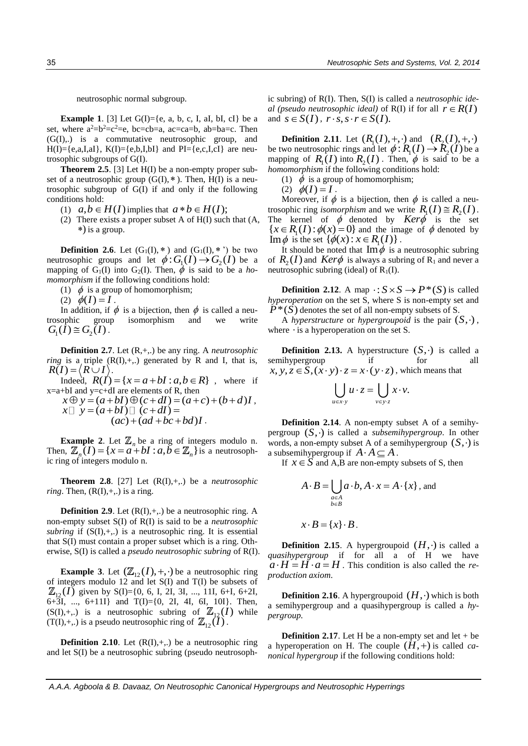neutrosophic normal subgroup.

**Example 1.** [3] Let  $G(I) = \{e, a, b, c, I, aI, bI, cI\}$  be a set, where  $a^2=b^2=c^2=e$ , bc=cb=a, ac=ca=b, ab=ba=c. Then (G(I),.) is a commutative neutrosophic group, and  $H(I) = \{e, a, I, aI\}, K(I) = \{e, b, I, bI\}$  and  $PI = \{e, c, I, cI\}$  are neutrosophic subgroups of G(I).

**Theorem 2.5.** [3] Let H(I) be a non-empty proper subset of a neutrosophic group  $(G(I), *)$ . Then,  $H(I)$  is a neutrosophic subgroup of G(I) if and only if the following conditions hold:

- (1)  $a, b \in H(I)$  implies that  $a * b \in H(I);$
- (2) There exists a proper subset A of H(I) such that (A, ) is a group.

**Definition 2.6.** Let  $(G_1(I), *)$  and  $(G_1(I), *)$  be two neutrosophic groups and let  $\phi: G_1(I) \to G_2(I)$  be a mapping of  $G_1(I)$  into  $G_2(I)$ . Then,  $\phi$  is said to be a *homomorphism* if the following conditions hold:

(1)  $\phi$  is a group of homomorphism;

(2)  $\phi(I) = I$ .

In addition, if  $\phi$  is a bijection, then  $\phi$  is called a neutrosophic group isomorphism and we write  $G_1(I) \cong G_2(I)$ .

**Definition 2.7**. Let (R,+,.) be any ring. A *neutrosophic ring* is a triple  $(R(I), +,.)$  generated by R and I, that is,  $R(I) = \langle R \cup I \rangle$ .

 $I$   $= \langle R \cup I \rangle$ .<br>
Indeed,  $R(I) = \{x = a + bI : a, b \in R\}$ , where if<br>  $+ bI$  and y=c+dI are elements of R, then<br>  $x \oplus y = (a + bI) \oplus (c + dI) = (a + c) + (b + d)I$ ,<br>  $x \oplus y = (a + bI) \oplus (a + dI) =$  $x=a+bI$  and  $y=c+dI$  are elements of R, then

$$
x \oplus y = (a + bI) \oplus (c + dI) = (a + c) + (b + d)I,
$$
  
\n
$$
x \Box y = (a + bI) \Box (c + dI) =
$$
  
\n
$$
(ac) + (ad + bc + bd)I.
$$

**Example 2**. Let  $\mathbb{Z}_n$  be a ring of integers modulo n.<br> **n**,  $\mathbb{Z}_n(I) = \{x = a + bI : a, b \in \mathbb{Z}_n\}$  is a neutrosoph-Then,  $\mathbb{Z}_n(I) = \{x = a + bI : a,b \in \mathbb{Z}_n\}$  is a neutrosophic ring of integers modulo n.

**Theorem 2.8.** [27] Let  $(R(I), +,.)$  be a *neutrosophic ring*. Then,  $(R(I), +,.)$  is a ring.

**Definition 2.9.** Let  $(R(I), +,.)$  be a neutrosophic ring. A non-empty subset S(I) of R(I) is said to be a *neutrosophic subring* if  $(S(I), +,.)$  is a neutrosophic ring. It is essential that S(I) must contain a proper subset which is a ring. Otherwise, S(I) is called a *pseudo neutrosophic subring* of R(I).

**Example 3**. Let  $(\mathbb{Z}_{12}(I), +, \cdot)$  be a neutrosophic ring of integers modulo 12 and let S(I) and T(I) be subsets of  $I_{12}(I)$  given by S(I)={0, 6, I, 2I, 3I, ..., 11I, 6+I, 6+2I,  $\overline{6}$ +3I, ...,  $\overline{6}$ +11I) and T(I)={0, 2I, 4I, 6I, 10I). Then,  $(S(I), +,.)$  is a neutrosophic subring of  $\mathbb{Z}_{12}(I)$  while  $(T(I), +,.)$  is a pseudo neutrosophic ring of  $\mathbb{Z}_{12}(\tilde{I})$ .

**Definition 2.10**. Let  $(R(I), +,.)$  be a neutrosophic ring and let S(I) be a neutrosophic subring (pseudo neutrosophic subring) of R(I). Then, S(I) is called a *neutrosophic ideal (pseudo neutrosophic ideal)* of  $R(I)$  if for all  $r \in R(I)$ and  $s \in S(I)$ ,  $r \cdot s$ ,  $s \cdot r \in S(I)$ .

**Definition 2.11**. Let  $(R_1(I), +, \cdot)$  and  $(R_2(I), +, \cdot)$ be two neutrosophic rings and let  $\phi: R_1(I) \to R_2(I)$  be a mapping of  $R_1(I)$  into  $R_2(I)$ . Then,  $\phi$  is said to be a *homomorphism* if the following conditions hold:

(1)  $\phi$  is a group of homomorphism;

(2)  $\phi(I) = I$ .

Moreover, if  $\phi$  is a bijection, then  $\phi$  is called a neutrosophic ring *isomorphism* and we write  $R_1(I) \cong R_2(I)$ . The kernel of  $\phi$  denoted by *Ker* $\phi$  is the set The kerner of  $\psi$  denoted by  $\text{Re}\nu\psi$  is the set  $\{x \in R_1(I): \phi(x) = 0\}$  and the image of  $\phi$  denoted by  $\lim \phi$  is the set  $\{\phi(x): x \in R_1(I)\}\.$ 

It should be noted that  $\text{Im}\phi$  is a neutrosophic subring of  $R_2(I)$  and  $Ker\phi$  is always a subring of R<sub>1</sub> and never a neutrosophic subring (ideal) of  $R_1(I)$ .

**Definition 2.12.** A map  $: S \times S \rightarrow P^*(S)$  is called *hyperoperation* on the set S, where S is non-empty set and  $P^*(\hat{S})$  denotes the set of all non-empty subsets of S.

A *hyperstructure* or *hypergroupoid* is the pair  $(S, \cdot)$ , where  $\cdot$  is a hyperoperation on the set S.

**Definition 2.13.** A hyperstructure  $(S, \cdot)$  is called a semihypergroup if for all Example *x*,  $y, z \in S$ ,  $(x \cdot y) \cdot z = x \cdot (y \cdot z)$ , which means that

$$
\bigcup_{u \in x \cdot y} u \cdot z = \bigcup_{v \in y \cdot z} x \cdot v.
$$

**Definition 2.14**. A non-empty subset A of a semihypergroup  $(S, \cdot)$  is called a *subsemihypergroup*. In other words, a non-empty subset A of a semihypergroup  $(S, \cdot)$  is a subsemihypergroup if  $A \cdot A \subseteq A$ .

If  $x \in S$  and A,B are non-empty subsets of S, then

$$
A \cdot B = \bigcup_{\substack{a \in A \\ b \in B}} a \cdot b, A \cdot x = A \cdot \{x\}, \text{ and}
$$

 $x \cdot B = \{x\} \cdot B$ .

**Definition 2.15**. A hypergroupoid  $(H, \cdot)$  is called a *quasihypergroup* if for all a of H we have  $a \cdot H = H \cdot a = H$ . This condition is also called the *reproduction axiom*.

**Definition 2.16**. A hypergroupoid  $(H, \cdot)$  which is both a semihypergroup and a quasihypergroup is called a *hypergroup.* 

**Definition 2.17.** Let H be a non-empty set and let  $+$  be a hyperoperation on H. The couple  $(H, +)$  is called *canonical hypergroup* if the following conditions hold: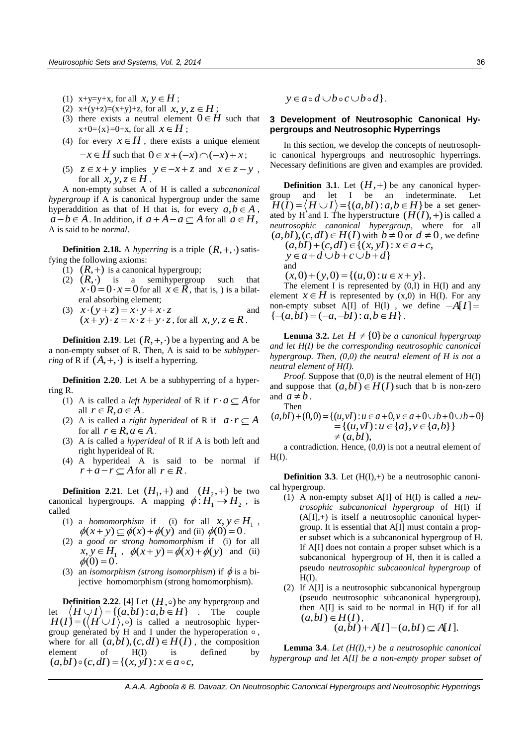- (1)  $x+y=y+x$ , for all  $x, y \in H$ ;
- (2)  $x+(y+z)=(x+y)+z$ , for all  $x, y, z \in H$ ;
- (3) there exists a neutral element  $0 \in H$  such that  $x+0=$ { $x$ }=0+x, for all  $x \in H$ ;
- (4) for every  $x \in H$ , there exists a unique element  $-x \in H$  such that  $0 \in x + (-x) \cap (-x) + x$ ;
	-
- (5)  $z \in x + y$  implies  $y \in -x + z$  and  $x \in z y$ , for all  $x, y, z \in H$ .

A non-empty subset A of H is called a *subcanonical hypergroup* if A is canonical hypergroup under the same hyperaddition as that of H that is, for every  $a, b \in A$ ,  $a-b \in A$ . In addition, if  $a+A-a \subseteq A$  for all  $a \in H$ , A is said to be *normal*.

**Definition 2.18.** A *hyperring* is a triple  $(R, +, \cdot)$  satisfying the following axioms:

- (1)  $(R,+)$  is a canonical hypergroup;
- (2)  $(R, \cdot)$  is a semihypergroup such that  $\vec{x} \cdot \vec{0} = 0 \cdot x = 0$  for all  $\vec{x} \in \vec{R}$ , that is, ) is a bilateral absorbing element;
- eral absorbing element;<br>(3)  $x \cdot (y + z) = x \cdot y + x \cdot z$ and  $(x+y+z) = x \cdot y + x \cdot z$ <br>  $(x+y) \cdot z = x \cdot z + y \cdot z$ , for all  $x, y, z \in \mathbb{R}$ .

**Definition 2.19**. Let  $(R, +, \cdot)$  be a hyperring and A be a non-empty subset of R. Then, A is said to be *subhyperring* of R if  $(A, +, \cdot)$  is itself a hyperring.

**Definition 2.20**. Let A be a subhyperring of a hyperring R.

- (1) A is called a *left hyperideal* of R if  $r \cdot a \subseteq A$  for all  $r \in R$ ,  $a \in A$ .
- (2) A is called a *right hyperideal* of R if  $a \cdot r \subseteq A$ for all  $r \in R$ ,  $a \in A$ .
- (3) A is called a *hyperideal* of R if A is both left and right hyperideal of R.
- (4) A hyperideal A is said to be normal if  $r + a - r \subseteq A$  for all  $r \in R$ .

**Definition 2.21.** Let  $(H_1, +)$  and  $(H_2, +)$  be two canonical hypergroups. A mapping  $\phi: H_1 \to H_2$ , is called

- (1) a *homomorphism* if (i) for all  $x, y \in H_1$ , a *homomorphism* if (i) for all  $x, y \in E$ <br> $\phi(x+y) \subseteq \phi(x) + \phi(y)$  and (ii)  $\phi(0) = 0$ .
- (2) a *good or strong homomorphism* if (i) for all *x*,  $y \in H_1$ ,  $\phi(x+y) = \phi(x) + \phi(y)$  and (ii)  $\phi(0) = 0$ .
- (3) an *isomorphism* (*strong isomorphism*) if  $\phi$  is a bijective homomorphism (strong homomorphism).

**Definition 2.22.** [4] Let  $(H, \circ)$  be any hypergroup and **Definition 2.22.** [4] Let  $(H, \circ)$  be any hypergroup and let  $\langle H \cup I \rangle = \{(a, bl) : a, b \in H\}$ . The couple  $H(I) = (\langle H \cup I \rangle, \circ)$  is called a neutrosophic hypergroup generated by H and I under the hyperoperation  $\circ$ , group generated by H and I under the hyperoperation  $\circ$ ,<br>where for all  $(a,bI)$ ,  $(c,dI) \in H(I)$ , the composition element of H(I) is defined by ( , ) ( , ) {( , ): , *a bI c dI x yI x a c y a d b c b d* }.

#### **3 Development of Neutrosophic Canonical Hypergroups and Neutrosophic Hyperrings**

In this section, we develop the concepts of neutrosophic canonical hypergroups and neutrosophic hyperrings. Necessary definitions are given and examples are provided.

**Definition 3.1**. Let  $(H, +)$  be any canonical hypergroup and let I be an indeterminate. Let **EXECUT, 1** y or any canonical hyper<br>
group and let I be an indeterminate. Let<br>  $H(I) = \langle H \cup I \rangle = \{(a,bI) : a,b \in H\}$  be a set generated by H<sup>'</sup> and I. The hyperstructure  $(H(I), +)$  is called a *neutrosophic canonical hypergroup*, where for all

*(a,b1)*, 
$$
(c,dI) \in H(I)
$$
 with  $b \neq 0$  or  $d \neq 0$ , we define  
\n $(a,bI)+(c,dI) \in \{(x,yI): x \in a+c,$   
\n $y \in a+d \cup b+c \cup b+d\}$   
\nand

 $(x,0) + (y,0) = \{(u,0) : u \in x + y\}.$ 

The element I is represented by  $(0,I)$  in  $H(I)$  and any element  $x \in H$  is represented by  $(x,0)$  in H(I). For any non-empty subset A[I] of H(I), we define  $-A[I] =$ <br>{ $-(a,bI) = (-a,-bI) : a,b \in H$ }.

**Lemma 3.2.** Let  $H \neq \{0\}$  be a canonical hypergroup *and let H(I) be the corresponding neutrosophic canonical hypergroup. Then, (0,0) the neutral element of H is not a neutral element of H(I).*

*Proof.* Suppose that  $(0,0)$  is the neutral element of H(I) and suppose that  $(a,bI) \in H(I)$  such that b is non-zero and  $a \neq b$ . Then

and 
$$
a \neq b
$$
.  
\nThen  
\n $(a,bI)+(0,0) = \{(u,vI) : u \in a+0, v \in a+0 \cup b+0 \cup b+0\}$   
\n $= \{(u,vI) : u \in \{a\}, v \in \{a,b\}\}$   
\n $\neq (a,bI),$ 

a contradiction. Hence, (0,0) is not a neutral element of  $H(I)$ .

**Definition 3.3.** Let  $(H(I),+)$  be a neutrosophic canonical hypergroup.

- (1) A non-empty subset A[I] of H(I) is called a *neutrosophic subcanonical hypergroup* of H(I) if  $(A[I],+)$  is itself a neutrosophic canonical hypergroup. It is essential that A[I] must contain a proper subset which is a subcanonical hypergroup of H. If A[I] does not contain a proper subset which is a subcanonical hypergroup of H, then it is called a pseudo *neutrosophic subcanonical hypergroup* of  $H(I)$ .
- (2) If A[I] is a neutrosophic subcanonical hypergroup (pseudo neutrosophic subcanonical hypergroup), then  $A[I]$  is said to be normal in  $H(I)$  if for all  $(a, bI) \in H(I)$ ,  $(a, bl) + A[I] - (a, bl) \subseteq A[I].$

**Lemma 3.4**. *Let (H(I),+) be a neutrosophic canonical hypergroup and let A[I] be a non-empty proper subset of*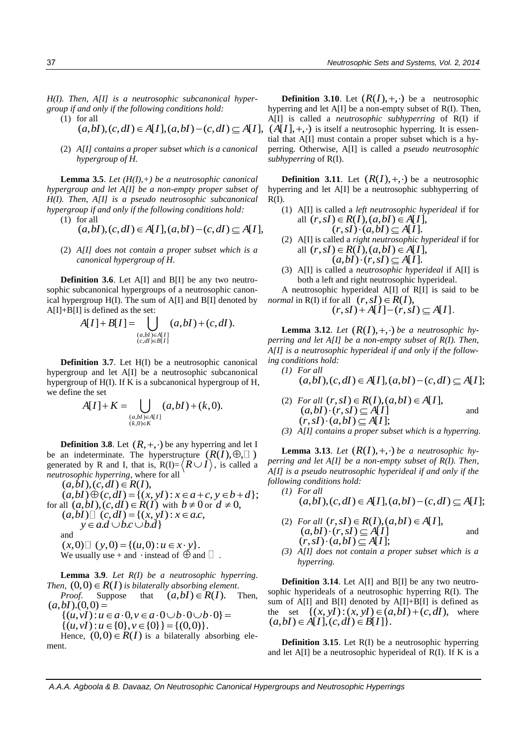*H(I). Then, A[I] is a neutrosophic subcanonical hyper-*

(1) for all

$$
group if and only if the following conditions hold:(1) for all(a,bI), (c,dI) \in A[I], (a,bI) - (c,dI) \subseteq A[I],
$$

(2) *A[I] contains a proper subset which is a canonical hypergroup of H.*

**Lemma 3.5**. *Let (H(I),+) be a neutrosophic canonical hypergroup and let A[I] be a non-empty proper subset of H(I). Then, A[I] is a pseudo neutrosophic subcanonical hypergroup if and only if the following conditions hold:* 

- (1) for all
	- $(a, bI), (c, dI) \in A[I], (a, bI) (c, dI) \subset A[I],$
- (2) *A[I] does not contain a proper subset which is a canonical hypergroup of H.*

**Definition 3.6**. Let A[I] and B[I] be any two neutrosophic subcanonical hypergroups of a neutrosophic canonical hypergroup  $H(I)$ . The sum of  $A[I]$  and  $B[I]$  denoted by

A[I]+B[I] is defined as the set:  
\n
$$
A[I] + B[I] = \bigcup_{\substack{(a,bI) \in A[I] \\ (c,dl) \in B[I]}} (a,bI) + (c,dl).
$$

**Definition 3.7**. Let H(I) be a neutrosophic canonical hypergroup and let A[I] be a neutrosophic subcanonical hypergroup of H(I). If K is a subcanonical hypergroup of H, we define the set

the set  
\n
$$
A[I] + K = \bigcup_{\substack{(a,bI) \in A[I] \\ (k,0) \in K}} (a,bI) + (k,0).
$$

**Definition 3.8**. Let  $(R, +, \cdot)$  be any hyperring and let I be an indeterminate. The hyperstructure  $(R(\tilde{I}), \oplus, \Box)$ generated by R and I, that is,  $R(I) = \langle R \cup I \rangle$ , is called a *neutrosophic hyperring*, where for all

 $(a, bI), (c, dI) \in R(I),$  $(a, b) \oplus (c, d) = \{(x, y) : x \in a + c, y \in b + d\};$ for all  $(a,bI)$ , $(c,dI) \in R(I)$  with  $b \neq 0$  or  $d \neq 0$ ,<br>  $(a,bI) \square (c,dI) = \{(x,yI) : x \in a.c,$ <br>  $y \in a.d \cup b.c \cup b.d\}$ and  $y \in a.d \cup b.c \cup b.d$ }<br>and<br> $(x,0) \square ( y,0) = \{(u,0) : u \in x \cdot y\}.$ 

We usually use + and  $\cdot$  instead of  $\oplus$  and  $\square$ .

**Lemma 3.9**. *Let R(I) be a neutrosophic hyperring*. *Then,*  $(0,0) \in R(I)$  *is bilaterally absorbing element. Proof.* Suppose that  $(a, bI) \in R(I)$ . Then,

 $(a, bI)$ . $(0, 0)$  $\{(u, v) : u \in a \cdot 0, v \in a \cdot 0 \cup b \cdot 0 \cup b \cdot 0\} = \{(u, v) : u \in \{0\}, v \in \{0\}\} = \{(0, 0)\}.$ 

Hence,  $(0,0) \in R(I)$  is a bilaterally absorbing element.

**Definition 3.10**. Let  $(R(I), +, \cdot)$  be a neutrosophic hyperring and let A[I] be a non-empty subset of R(I). Then, A[I] is called a *neutrosophic subhyperring* of R(I) if  $(A[I], +, \cdot)$  is itself a neutrosophic hyperring. It is essential that A[I] must contain a proper subset which is a hyperring. Otherwise, A[I] is called a *pseudo neutrosophic subhyperring* of R(I).

**Definition 3.11**. Let  $(R(I), +, \cdot)$  be a neutrosophic hyperring and let A[I] be a neutrosophic subhyperring of  $R(I)$ .

(1) A[I] is called a *left neutrosophic hyperideal* if for all is called a *left neutrosophic hy*  $(r, sI) \in R(I), (a, bI) \in A[I], (r, sI) \cdot (a, bI) \subseteq A[I].$ 

$$
(r, sI) \cdot (a, bI) \subseteq A[I]
$$
.  
(2) A[I] is called a *right neurosophic hyperideal* if for  
all  $(r, sI) \in R(I)$ .  $(a, bI) \in A[I]$ .

all 
$$
(r, sI) \in R(I), (a, bI) \in A[I],
$$
  
 $(a, bI) \cdot (r, sI) \subset A[I].$ 

(3) A[I] is called a *neutrosophic hyperideal* if A[I] is both a left and right neutrosophic hyperideal.

A neutrosophic hyperideal A[I] of R[I] is said to be *normal* in R(I) if for all  $(r, sI) \in R(I)$ ,  $(r, sI) + A[I] - (r, sI) \subset A[I]$ 

$$
(7,51) + P_{1}P_{1} \quad (7,51) \subseteq P_{1}P_{1}.
$$

**Lemma 3.12**. Let  $(R(I), +, \cdot)$  be a neutrosophic hy*perring and let A[I] be a non-empty subset of R(I). Then, A[I] is a neutrosophic hyperideal if and only if the following conditions hold:*

*conditions hold:*  
(1) For all  

$$
(a,bI)
$$
,  $(c,dI) \in A[I]$ ,  $(a,bI) - (c,dI) \subseteq A[I]$ ;

(2) *For all*  $\begin{aligned} \n\text{For all } (r, sI) \in R(I), (a, bI) \in A[I], (a, bI) \cdot (r, sI) &\subseteq A[I] \n\end{aligned}$ and  $(a, bl) \cdot (r, sl) \subseteq A[I]$ <br> $(r, sl) \cdot (a, bl) \subseteq A[I];$ 

*(3) A[I] contains a proper subset which is a hyperring.* 

**Lemma 3.13**. Let  $(R(I), +, \cdot)$  be a neutrosophic hy*perring and let A[I] be a non-empty subset of R(I). Then, A[I] is a pseudo neutrosophic hyperideal if and only if the following conditions hold:*

- *(1) For all*   $(a, bl), (c, dl) \in A[I], (a, bl) - (c, dl) \subset A[I];$
- (2) *For all*   $\begin{aligned} &\text{For all } (r, sI) \in R(I), (a, bI) \in A[I],\ &\text{or } (a, bI) \cdot (r, sI) \subseteq A[I] \end{aligned}$ and  $(a, bl) \cdot (r, sl) \subseteq A[I]$ <br> $(r, sl) \cdot (a, bl) \subseteq A[I];$
- *(3) A[I] does not contain a proper subset which is a hyperring.*

**Definition 3.14.** Let A[I] and B[I] be any two neutrosophic hyperideals of a neutrosophic hyperring R(I). The sum of A[I] and B[I] denoted by A[I]+B[I] is defined as sephalon of a contrassephalon process and the set  $\{(x, yI) : (x, yI) \in (a,bI) + (c,dI)$ , where  $(a,bI) \in A[I], (c,dI) \in B[I]\}.$ 

**Definition 3.15**. Let R(I) be a neutrosophic hyperring and let  $A[I]$  be a neutrosophic hyperideal of  $R(I)$ . If K is a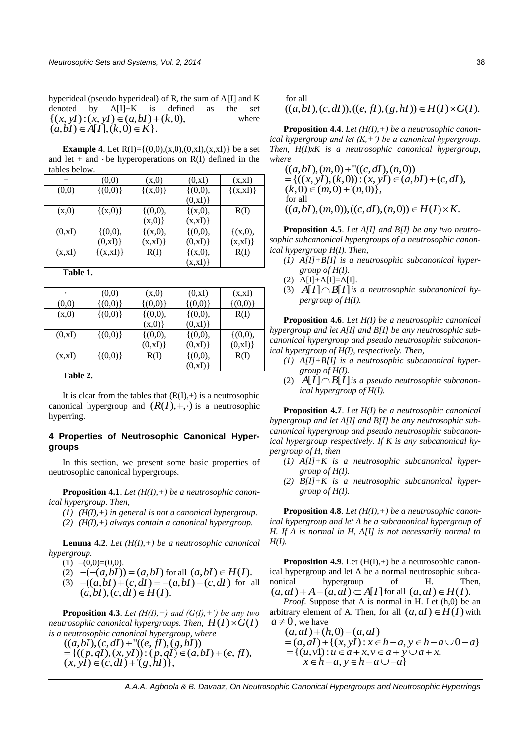hyperideal (pseudo hyperideal) of R, the sum of A[I] and K denoted by  $A[I]+K$  is defined as the set  $\{(x, yI) : (x, yI) \in (a, bI) + (k, 0),\}$ where  $(a, bI) \in A[I], (k, 0) \in K$ .

**Example 4**. Let  $R(I) = \{(0,0), (x,0), (0,x), (x,x) \}$  be a set and let  $+$  and  $\cdot$  be hyperoperations on R(I) defined in the tables below.

| $^{+}$  | (0,0)         | (x,0)        | (0, xI)      | (x,xI)        |
|---------|---------------|--------------|--------------|---------------|
| (0,0)   | $\{(0,0)\}\$  | $\{(x,0)\}\$ | $\{(0,0),\}$ | $\{(x,xI)\}\$ |
|         |               |              | (0, xI)      |               |
| (x,0)   | $\{(x,0)\}\$  | $\{(0,0),\}$ | $\{(x,0),\}$ | R(I)          |
|         |               | (x,0)        | (x,xI)       |               |
| (0, xI) | $\{(0,0),\}$  | $\{(x,0),\}$ | $\{(0,0),\}$ | $\{(x,0),\}$  |
|         | (0, xI)       | (x,xI)       | (0, xI)      | (x,xI)        |
| (x,xI)  | $\{(x,xI)\}\$ | R(I)         | ${(x,0),$    | R(I)          |
|         |               |              | (x,xI)       |               |

**Table 1.**

| ٠       | (0,0)        | (x,0)        | (0, xI)      | (x,xI)       |  |  |
|---------|--------------|--------------|--------------|--------------|--|--|
| (0,0)   | $\{(0,0)\}\$ | $\{(0,0)\}\$ | $\{(0,0)\}\$ | $\{(0,0)\}\$ |  |  |
| (x,0)   | $\{(0,0)\}\$ | $\{(0,0),\}$ | $\{(0,0),\}$ | R(I)         |  |  |
|         |              | $(x,0)$ }    | (0, xI)      |              |  |  |
| (0, xI) | $\{(0,0)\}\$ | $\{(0,0),\}$ | $\{(0,0),\}$ | $\{(0,0),\}$ |  |  |
|         |              | (0, xI)      | (0, xI)      | (0, xI)      |  |  |
| (x,xI)  | $\{(0,0)\}\$ | R(I)         | $\{(0,0),\}$ | R(I)         |  |  |
|         |              |              | (0, xI)      |              |  |  |
| .<br>-  |              |              |              |              |  |  |

**Table 2.**

It is clear from the tables that  $(R(I),+)$  is a neutrosophic canonical hypergroup and  $(R(I), +, \cdot)$  is a neutrosophic hyperring.

#### **4 Properties of Neutrosophic Canonical Hypergroups**

In this section, we present some basic properties of neutrosophic canonical hypergroups.

**Proposition 4.1**. *Let (H(I),+) be a neutrosophic canonical hypergroup. Then,* 

- *(1) (H(I),+) in general is not a canonical hypergroup.*
- *(2) (H(I),+) always contain a canonical hypergroup.*

**Lemma 4.2**. *Let (H(I),+) be a neutrosophic canonical hypergroup.* 

(1) 
$$
-(0,0)=(0,0)
$$
.  
(2)  $-(-(a,bI))=(a,bI)$  for all  $(a,bI) \in H(I)$ .

(1)  $\neg(\sigma, \sigma) = (\sigma, bI)$ <br>
(2)  $\neg(\neg(a, bI)) = (a, bI)$  for all  $(a, bI) \in H(I)$ .<br>
(3)  $\neg((a, bI) + (c, dI) = \neg(a, bI) - (c, dI)$  for all  $(a, bI), (c, dI) \in H(I).$ 

**Proposition 4.3**. *Let*  $(H(I), +)$  *and*  $(G(I), +')$  *be any two neutrosophic canonical hypergroups. Then,*  $H(I) \times G(I)$ 

is a neutrosophic canonical hypergroup, where  
\n
$$
((a,bI),(c,dI)^+((e,fI),(g,hI))
$$
\n
$$
= {((p,qI),(x,yI)) : (p,qI) \in (a,bI) + (e,fI),
$$
\n
$$
(x,yI) \in (c,dI) + (g,hI) },
$$

for all

## $((a, bl), (c, dl)), ((e, fl), (g, hl)) \in H(I) \times G(I).$

**Proposition 4.4**. *Let (H(I),+) be a neutrosophic canonical hypergroup and let*  $(K, +')$  *be a canonical hypergroup. Then, H(I)xK is a neutrosophic canonical hypergroup, where* 

 $((a, bl), (m, 0) + "((c, dl), (n, 0))$  $=(((x, y), (k, 0)):(x, y), (k, 0))$ <br>  $(k, 0) \in (m, 0) + (n, 0)$ , for all  $((a, b), (m, 0)), ((c, d), (n, 0)) \in H(I) \times K.$ 

**Proposition 4.5**. *Let A[I] and B[I] be any two neutrosophic subcanonical hypergroups of a neutrosophic canonical hypergroup H(I). Then,*

- *(1) A[I]+B[I] is a neutrosophic subcanonical hypergroup of H(I).*
- $(2)$  A[I]+A[I]=A[I].
- (3)  $A[I] \cap B[I]$  *is a neutrosophic subcanonical hypergroup of H(I).*

**Proposition 4.6**. *Let H(I) be a neutrosophic canonical hypergroup and let A[I] and B[I] be any neutrosophic subcanonical hypergroup and pseudo neutrosophic subcanonical hypergroup of H(I), respectively. Then,* 

- *(1) A[I]+B[I] is a neutrosophic subcanonical hypergroup of H(I).*
- (2)  $\tilde{A}[\hat{I}] \cap B[\hat{I}]$  is a pseudo neutrosophic subcanon*ical hypergroup of H(I).*

**Proposition 4.7**. *Let H(I) be a neutrosophic canonical hypergroup and let A[I] and B[I] be any neutrosophic subcanonical hypergroup and pseudo neutrosophic subcanonical hypergroup respectively. If K is any subcanonical hypergroup of H, then* 

- *(1) A[I]+K is a neutrosophic subcanonical hypergroup of H(I).*
- *(2) B[I]+K is a neutrosophic subcanonical hypergroup of H(I).*

**Proposition 4.8**. *Let (H(I),+) be a neutrosophic canonical hypergroup and let A be a subcanonical hypergroup of H. If A is normal in H, A[I] is not necessarily normal to H(I).*

**Proposition 4.9.** Let  $(H(I),+)$  be a neutrosophic canonical hypergroup and let A be a normal neutrosophic subcanonical hypergroup of H. Then, nonical hypergroup of H. Th<br>  $(a, aI) + A - (a, aI) \subseteq A[I]$  for all  $(a, aI) \in H(I)$ .

*Proof.* Suppose that A is normal in H. Let  $(h,0)$  be an arbitrary element of A. Then, for all  $(a, aI) \in H(I)$  with  $a \neq 0$ , we have

 $(a, aI) + (h, 0) - (a, aI)$ 0, we have<br>  $(a, aI)+(h, 0) - (a, aI)$ <br>  $=(a, aI)+(x, yI): x \in h-a, y \in h-a \cup 0-a$ <br>  $(a, y)+(a, y)$  $(a, a) + (h, 0) - (a, a)$ <br>=  $(a, a) + \{(x, y) : x \in h - a, y \in h - a \cup$ <br>=  $\{(u, v) : u \in a + x, v \in a + y \cup a + x,$  $=\{(u, v1): u \in a + x, v \in a + y \cup a + x, x \in h - a, y \in h - a \cup -a\}$ 

 *A.A.A. Agboola & B. Davaaz, On Neutrosophic Canonical Hypergroups and Neutrosophic Hyperrings*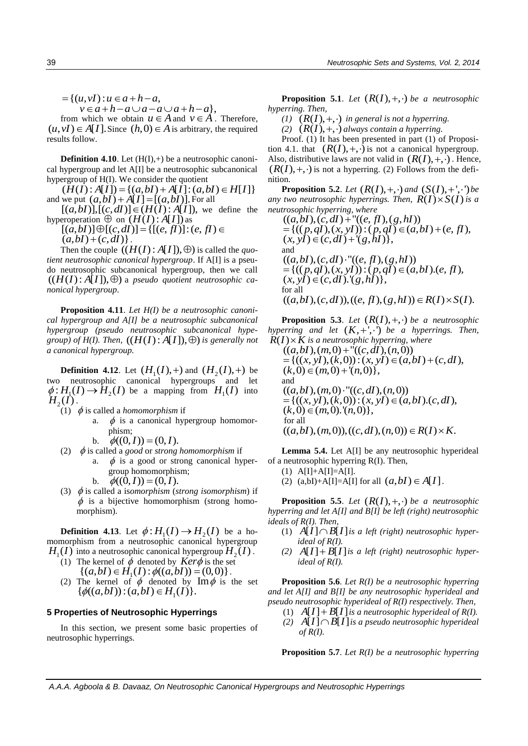$=\{(u, vI) : u \in a+h-a,$ <br> $v \in a+h-a \cup a-a \cup a+h-a\},\$ 

from which we obtain  $u \in A$  and  $v \in A$ . Therefore,  $(u, vI) \in A[I]$ . Since  $(h, 0) \in A$  is arbitrary, the required results follow.

**Definition 4.10**. Let  $(H(I),+)$  be a neutrosophic canonical hypergroup and let A[I] be a neutrosophic subcanonical hypergroup of H(I). We consider the quotient

 $(H(I): A[I]) = \{(a, bl) + A[I] : (a, bl) \in H[I] \}$  $(H(I): A[I]) = \{(a, bl) + A[I] : (a, bl)$ <br>and we put  $(a, bl) + A[I] = [(a, bl)]$ . For all  $[(a, bl)], [(c, dl)] \in (H(I): A[I])$ , we

 $[(a,bI)], [(c,dI)] \in (H(I):A[I]),$  we define the hyperoperation  $\Theta$  on  $(H(I): A[I])$  as

 $[(a, bI)] \oplus [(c, dI)] = \{[(e, fl)] : (e, fl) \in$  $(a, bI) + (c, dI)$ .

Then the couple  $((H(I):A[I]), \oplus)$  is called the *quotient neutrosophic canonical hypergroup*. If A[I] is a pseudo neutrosophic subcanonical hypergroup, then we call  $((H(I):A[I]), \oplus)$  a *pseudo quotient neutrosophic canonical hypergroup*.

**Proposition 4.11**. *Let H(I) be a neutrosophic canonical hypergroup and A[I] be a neutrosophic subcanonical hypergroup (pseudo neutrosophic subcanonical hype* $group$  of  $H(I)$ . Then,  $((H(I):A[I]), \oplus)$  is generally not *a canonical hypergroup.*

**Definition 4.12.** Let  $(H_1(I), +)$  and  $(H_2(I), +)$  be two neutrosophic canonical hypergroups and let  $\phi: H_1(I) \to H_2(I)$  be a mapping from  $H_1(I)$  into  $H_2(I)$ .

- (1)  $\phi$  is called a *homomorphism* if
	- a.  $\phi$  is a canonical hypergroup homomorphism;
	- b.  $\phi((0, I)) = (0, I)$ .
- (2)  $\phi$  is called a *good* or *strong homomorphism* if
	- a.  $\phi$  is a good or strong canonical hypergroup homomorphism; b.
		- $\phi((0, I)) = (0, I).$
- (3)  $\phi$  is called a isomorphism (*strong isomorphism*) if  $\phi$  is a bijective homomorphism (strong homomorphism).

**Definition 4.13**. Let  $\phi: H_1(I) \to H_2(I)$  be a homomorphism from a neutrosophic canonical hypergroup  $H_1(I)$  into a neutrosophic canonical hypergroup  $H_2(I)$ .

- (1) The kernel of  $\dot{\phi}$  denoted by  $\dot{K}er\dot{\phi}$  is the set The kernel of  $\phi$  denoted by  $Ker\phi$  is the set  $\{(a,bI) \in H_1(I) : \phi((a,bI)) = (0,0)\}$ .
- (2) The kernel of  $\phi$  denoted by  $\text{Im}\phi$  is the set  $\{\phi((a,bI)) : (a,bI) \in H_1(I)\}.$  $\{\phi((a,bI))$ :  $(a,bI) \in H_1(I)\}.$

#### **5 Properties of Neutrosophic Hyperrings**

In this section, we present some basic properties of neutrosophic hyperrings.

**Proposition 5.1**. Let  $(R(I), +, \cdot)$  be a neutrosophic *hyperring. Then,* 

*(1)*  $(R(I), +, \cdot)$  *in general is not a hyperring.* 

 $\overline{(2)}$   $(R(I), +, \cdot)$  *always contain a hyperring.* 

Proof. (1) It has been presented in part (1) of Proposition 4.1. that  $(R(I), +, \cdot)$  is not a canonical hypergroup. Also, distributive laws are not valid in  $(R(I), +, \cdot)$ . Hence,  $(R(I), +, \cdot)$  is not a hyperring. (2) Follows from the definition.

**Proposition 5.2**. *Let*  $(R(I), +, \cdot)$  *and*  $(S(I), +', \cdot)$  *be any two neutrosophic hyperrings. Then,*  $R(I) \times S(I)$  is a *neutrosophic hyperring, where* 

 $((a, bl), (c, dl) + "((e, fl), (g, hl))$  ${=}\{((p, qI), (x, yI)) : (p, qI) \in (a, bI) + (e, fl), (x, yI) \in (c, dl) + (g, hl)\},\$ and  $((a, bl), (c, dl) \cdot "((e, fl), (g, hl))$  ${}_{p} = \{((p, qI), (x, yI)) : (p, qI) \in (a, bI). (e, fI), (x, yI) \in (c, dI). (g, hI)\}\,$ for all  $((a, bl), (c, dl)), ((e, fl), (g, hl)) \in R(I) \times S(I).$ 

**Proposition 5.3**. Let  $(R(I), +, \cdot)$  be a neutrosophic *hyperring and let*  $(K, +', \cdot)$  *be a hyperrings. Then,*  $\ddot{R}(I)\times\ddot{K}$  is a neutrosophic hyperring, where

 $((a, bl), (m, 0) + "((c, dl), (n, 0))$  $=(((x, y), (k, 0)):(x, y), (k, 0))$ <br>  $(k, 0) \in (m, 0) + (n, 0)$ , and  $((a, b), (m, 0) \cdot "((c, d), (n, 0))$  $=(((x, y), (k, 0)):(x, y), (k, 0), (c, d),$ <br>  $(k, 0) \in (m, 0), (n, 0),$  for all  $((a, b), (m, 0)), ((c, d), (n, 0)) \in R(I) \times K.$ 

**Lemma 5.4.** Let A[I] be any neutrosophic hyperideal of a neutrosophic hyperring R(I). Then,

- $(1)$  A[I]+A[I]=A[I].
- (2)  $(a,bI) + A[I] = A[I]$  for all  $(a,bI) \in A[I]$ .

**Proposition 5.5**. Let  $(R(I), +, \cdot)$  be a neutrosophic *hyperring and let A[I] and B[I] be left (right) neutrosophic ideals of R(I). Then,* 

- $(1)$   $A[I] \cap B[I]$  *is a left (right) neutrosophic hyperideal of R(I).*
- (2)  $A[I] + B[I]$  *is a left (right) neutrosophic hyperideal of R(I).*

**Proposition 5.6**. *Let R(I) be a neutrosophic hyperring and let A[I] and B[I] be any neutrosophic hyperideal and pseudo neutrosophic hyperideal of R(I) respectively. Then,* 

- (1)  $A[I] + B[I]$  *is a neutrosophic hyperideal of R(I).*
- $\overline{A}[I] \cap \overline{B}[I]$  *is a pseudo neutrosophic hyperideal of R(I).*

**Proposition 5.7**. *Let R(I) be a neutrosophic hyperring*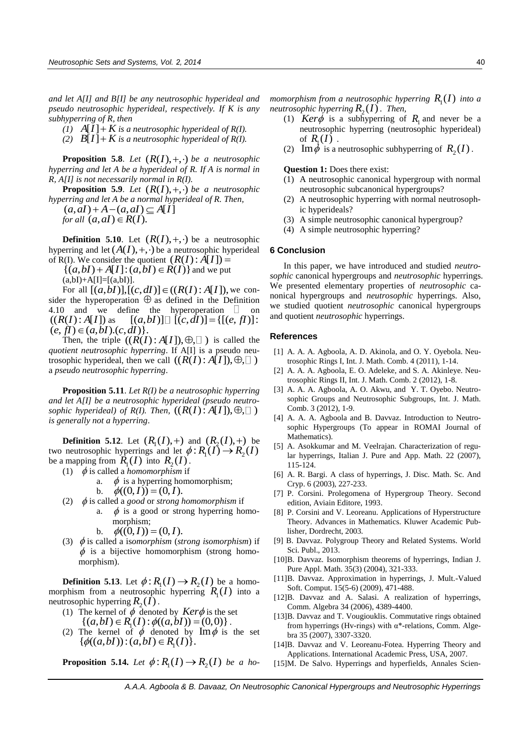*and let A[I] and B[I] be any neutrosophic hyperideal and pseudo neutrosophic hyperideal, respectively. If K is any subhyperring of R, then* 

 $\widetilde{I}(I)$   $A[\widetilde{I}] + K$  is a neutrosophic hyperideal of R(I).

(2)  $B[I] + K$  is a neutrosophic hyperideal of  $R(I)$ .

**Proposition 5.8**. Let  $(R(I), +, \cdot)$  be a neutrosophic *hyperring and let A be a hyperideal of R. If A is normal in R, A[I] is not necessarily normal in R(I).* 

**Proposition 5.9.** *Let*  $(R(I), +, \cdot)$  *be a neutrosophic hyperring and let A be a normal hyperideal of R. Then,*   $(a, aI) + A - (a, aI) \subset A[I]$ 

 $\phi$ *r* all  $(a, aI) \in R(I)$ .

**Definition 5.10**. Let  $(R(I), +, \cdot)$  be a neutrosophic hyperring and let  $(A(I), +, \cdot)$  be a neutrosophic hyperideal of R(I). We consider the quotient  $(R(I) : \hat{A}[I]) =$ 

(I). We consider the quotient  $(R(I) : \hat{A}[I]) =$ <br>{ $(a,bI) + A[I] : (a,bI) \in R(I)$ } and we put  $(a, bI) + A[I] = [(a, bI)].$ 

 $(a, bI) + A[I] = [(a, bI)].$ <br>For all  $[(a, bI)], [(c, dI)] \in ((R(I) : A[I]),$  we consider the hyperoperation  $\oplus$  as defined in the Definition 4.10 and we define the hyperoperation  $\Box$  on  $((R(I):A[I])$  as  $[(a, bI)] \square [(c, dI)] = \{[(e, fl)] :$  $(e, f) \in (a, b] \ldotp (c, d)$ .

Then, the triple  $((R(I):A[I]), \oplus, \square)$  is called the *quotient neutrosophic hyperring*. If A[I] is a pseudo neuphonem neurosophic *nypering*: if  $A[I]$  is a pseudo field trosophic hyperideal, then we call  $((R(I):A[I]),\oplus, \square)$ a *pseudo neutrosophic hyperring*.

**Proposition 5.11**. *Let R(I) be a neutrosophic hyperring and let A[I] be a neutrosophic hyperideal (pseudo neutrosophic hyperideal) of R(I). Then,*  $((R(I):A[I]),\oplus, \Box)$ *is generally not a hyperring*.

**Definition 5.12.** Let  $(R_1(I), +)$  and  $(R_2(I), +)$  be two neutrosophic hyperrings and let  $\phi: R_1(I) \to R_2(I)$ be a mapping from  $\overline{R}_1(I)$  into  $R_2(I)$ .

- (1)  $\phi$  is called a *homomorphism* if
	- a.  $\phi$  is a hyperring homomorphism;
	- b.  $\phi((0, I)) = (0, I).$
- (2)  $\phi$  is called a *good* or *strong homomorphism* if
	- a.  $\phi$  is a good or strong hyperring homomorphism;
		- b.  $\phi((0, I)) = (0, I).$
- (3)  $\phi$  is called a isomorphism (*strong isomorphism*) if  $\phi$  is a bijective homomorphism (strong homomorphism).

**Definition 5.13**. Let  $\phi: R_1(I) \to R_2(I)$  be a homomorphism from a neutrosophic hyperring  $R<sub>1</sub>(I)$  into a neutrosophic hyperring  $R_2(\tilde{I})$ .

- (1) The kernel of  $\phi$  denoted by *Ker* $\phi$  is the set The kernel of  $\phi$  denoted by  $Ker\phi$  is the set  $\{(a,bI) \in R_1(I) : \phi((a,bI)) = (0,0)\}$ .
- (2) The kernel of  $\phi$  denoted by  $\text{Im}\phi$  is the set  $\{\phi((a,bI)) : (a,bI) \in R_1(I)\}.$  $\{\phi((a,bI))$ :  $(a,bI) \in R_1(I)\}.$

**Proposition 5.14.** Let  $\phi: R_1(I) \to R_2(I)$  be a ho-

*momorphism from a neutrosophic hyperring*  $R_1(I)$  *into a neutrosophic hyperring*  $R_2(I)$ *. Then,* 

- (1)  $Ker\phi$  is a subhyperring of  $R_1$  and never be a neutrosophic hyperring (neutrosophic hyperideal) of  $R_1(I)$ .
- (2) Im  $\phi$  is a neutrosophic subhyperring of  $R_2(I)$ .

**Question 1:** Does there exist:

- (1) A neutrosophic canonical hypergroup with normal neutrosophic subcanonical hypergroups?
- (2) A neutrosophic hyperring with normal neutrosophic hyperideals?
- (3) A simple neutrosophic canonical hypergroup?
- (4) A simple neutrosophic hyperring?

#### **6 Conclusion**

In this paper, we have introduced and studied *neutrosophic* canonical hypergroups and *neutrosophic* hyperrings. We presented elementary properties of *neutrosophic* canonical hypergroups and *neutrosophic* hyperrings. Also, we studied quotient *neutrosophic* canonical hypergroups and quotient *neutrosophic* hyperrings.

#### **References**

- [1] A. A. A. Agboola, A. D. Akinola, and O. Y. Oyebola. Neutrosophic Rings I, Int. J. Math. Comb. 4 (2011), 1-14.
- [2] A. A. A. Agboola, E. O. Adeleke, and S. A. Akinleye. Neutrosophic Rings II, Int. J. Math. Comb. 2 (2012), 1-8.
- [3] A. A. A. Agboola, A. O. Akwu, and Y. T. Oyebo. Neutrosophic Groups and Neutrosophic Subgroups, Int. J. Math. Comb. 3 (2012), 1-9.
- [4] A. A. A. Agboola and B. Davvaz. Introduction to Neutrosophic Hypergroups (To appear in ROMAI Journal of Mathematics).
- [5] A. Asokkumar and M. Veelrajan. Characterization of regular hyperrings, Italian J. Pure and App. Math. 22 (2007), 115-124.
- [6] A. R. Bargi. A class of hyperrings, J. Disc. Math. Sc. And Cryp. 6 (2003), 227-233.
- [7] P. Corsini. Prolegomena of Hypergroup Theory. Second edition, Aviain Editore, 1993.
- [8] P. Corsini and V. Leoreanu. Applications of Hyperstructure Theory. Advances in Mathematics. Kluwer Academic Publisher, Dordrecht, 2003.
- [9] B. Davvaz. Polygroup Theory and Related Systems. World Sci. Publ., 2013.
- [10] B. Davvaz. Isomorphism theorems of hyperrings, Indian J. Pure Appl. Math. 35(3) (2004), 321-333.
- [11] B. Davvaz. Approximation in hyperrings, J. Mult.-Valued Soft. Comput. 15(5-6) (2009), 471-488.
- [12] B. Davvaz and A. Salasi. A realization of hyperrings, Comm. Algebra 34 (2006), 4389-4400.
- [13] B. Davvaz and T. Vougiouklis. Commutative rings obtained from hyperrings (Hv-rings) with  $\alpha^*$ -relations, Comm. Algebra 35 (2007), 3307-3320.
- [14]B. Davvaz and V. Leoreanu-Fotea. Hyperring Theory and Applications. International Academic Press, USA, 2007.
- [15]M. De Salvo. Hyperrings and hyperfields, Annales Scien-